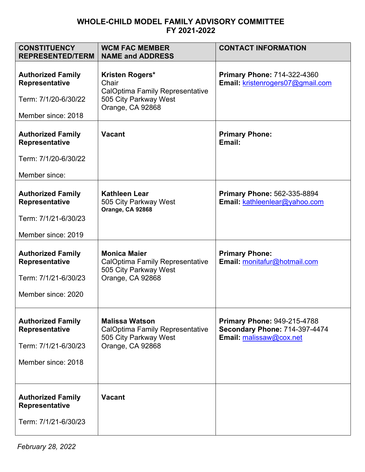## **WHOLE-CHILD MODEL FAMILY ADVISORY COMMITTEE FY 2021-2022**

| <b>CONSTITUENCY</b><br><b>REPRESENTED/TERM</b>                                                  | <b>WCM FAC MEMBER</b><br><b>NAME and ADDRESS</b>                                                                | <b>CONTACT INFORMATION</b>                                                                            |
|-------------------------------------------------------------------------------------------------|-----------------------------------------------------------------------------------------------------------------|-------------------------------------------------------------------------------------------------------|
| <b>Authorized Family</b><br><b>Representative</b><br>Term: 7/1/20-6/30/22<br>Member since: 2018 | Kristen Rogers*<br>Chair<br><b>CalOptima Family Representative</b><br>505 City Parkway West<br>Orange, CA 92868 | <b>Primary Phone: 714-322-4360</b><br>Email: kristenrogers07@gmail.com                                |
| <b>Authorized Family</b><br>Representative<br>Term: 7/1/20-6/30/22<br>Member since:             | <b>Vacant</b>                                                                                                   | <b>Primary Phone:</b><br>Email:                                                                       |
| <b>Authorized Family</b><br><b>Representative</b><br>Term: 7/1/21-6/30/23<br>Member since: 2019 | <b>Kathleen Lear</b><br>505 City Parkway West<br>Orange, CA 92868                                               | <b>Primary Phone: 562-335-8894</b><br>Email: kathleenlear@yahoo.com                                   |
| <b>Authorized Family</b><br><b>Representative</b><br>Term: 7/1/21-6/30/23<br>Member since: 2020 | <b>Monica Maier</b><br><b>CalOptima Family Representative</b><br>505 City Parkway West<br>Orange, CA 92868      | <b>Primary Phone:</b><br>Email: monitafur@hotmail.com                                                 |
| <b>Authorized Family</b><br><b>Representative</b><br>Term: 7/1/21-6/30/23<br>Member since: 2018 | <b>Malissa Watson</b><br><b>CalOptima Family Representative</b><br>505 City Parkway West<br>Orange, CA 92868    | <b>Primary Phone: 949-215-4788</b><br><b>Secondary Phone: 714-397-4474</b><br>Email: malissaw@cox.net |
| <b>Authorized Family</b><br>Representative<br>Term: 7/1/21-6/30/23                              | <b>Vacant</b>                                                                                                   |                                                                                                       |